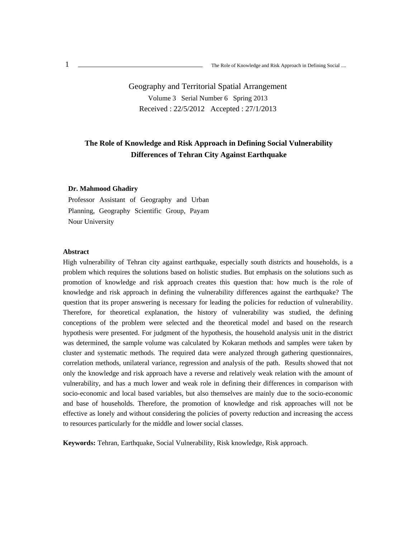Geography and Territorial Spatial Arrangement Volume 3 Serial Number 6 Spring 2013 Received : 22/5/2012 Accepted : 27/1/2013

### **The Role of Knowledge and Risk Approach in Defining Social Vulnerability Differences of Tehran City Against Earthquake**

#### **Dr. Mahmood Ghadiry**

Professor Assistant of Geography and Urban Planning, Geography Scientific Group, Payam Nour University

#### **Abstract**

High vulnerability of Tehran city against earthquake, especially south districts and households, is a problem which requires the solutions based on holistic studies. But emphasis on the solutions such as promotion of knowledge and risk approach creates this question that: how much is the role of knowledge and risk approach in defining the vulnerability differences against the earthquake? The question that its proper answering is necessary for leading the policies for reduction of vulnerability. Therefore, for theoretical explanation, the history of vulnerability was studied, the defining conceptions of the problem were selected and the theoretical model and based on the research hypothesis were presented. For judgment of the hypothesis, the household analysis unit in the district was determined, the sample volume was calculated by Kokaran methods and samples were taken by cluster and systematic methods. The required data were analyzed through gathering questionnaires, correlation methods, unilateral variance, regression and analysis of the path. Results showed that not only the knowledge and risk approach have a reverse and relatively weak relation with the amount of vulnerability, and has a much lower and weak role in defining their differences in comparison with socio-economic and local based variables, but also themselves are mainly due to the socio-economic and base of households. Therefore, the promotion of knowledge and risk approaches will not be effective as lonely and without considering the policies of poverty reduction and increasing the access to resources particularly for the middle and lower social classes.

**Keywords:** Tehran, Earthquake, Social Vulnerability, Risk knowledge, Risk approach.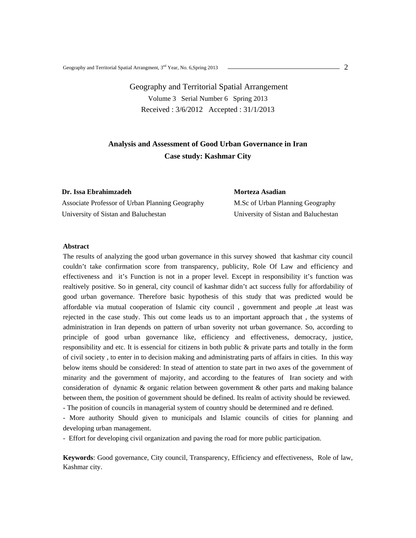Geography and Territorial Spatial Arrangement Volume 3 Serial Number 6 Spring 2013 Received : 3/6/2012 Accepted : 31/1/2013

### **Analysis and Assessment of Good Urban Governance in Iran Case study: Kashmar City**

**Dr. Issa Ebrahimzadeh** 

Associate Professor of Urban Planning Geography University of Sistan and Baluchestan

**Morteza Asadian** 

M.Sc of Urban Planning Geography University of Sistan and Baluchestan

#### **Abstract**

The results of analyzing the good urban governance in this survey showed that kashmar city council couldn't take confirmation score from transparency, publicity, Role Of Law and efficiency and effectiveness and it's Function is not in a proper level. Except in responsibility it's function was realtively positive. So in general, city council of kashmar didn't act success fully for affordability of good urban governance. Therefore basic hypothesis of this study that was predicted would be affordable via mutual cooperation of Islamic city council , government and people ,at least was rejected in the case study. This out come leads us to an important approach that , the systems of administration in Iran depends on pattern of urban soverity not urban governance. So, according to principle of good urban governance like, efficiency and effectiveness, democracy, justice, responsibility and etc. It is essencial for citizens in both public & private parts and totally in the form of civil society , to enter in to decision making and administrating parts of affairs in cities. In this way below items should be considered: In stead of attention to state part in two axes of the government of minarity and the government of majority, and according to the features of Iran society and with consideration of dynamic & organic relation between government & other parts and making balance between them, the position of government should be defined. Its realm of activity should be reviewed.

- The position of councils in managerial system of country should be determined and re defined.

- More authority Should given to municipals and Islamic councils of cities for planning and developing urban management.

- Effort for developing civil organization and paving the road for more public participation.

**Keywords**: Good governance, City council, Transparency, Efficiency and effectiveness, Role of law, Kashmar city.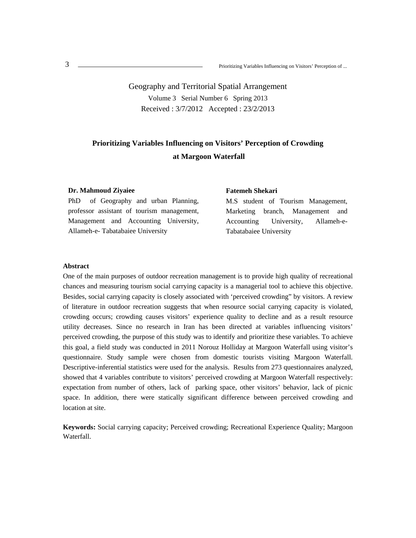Geography and Territorial Spatial Arrangement Volume 3 Serial Number 6 Spring 2013 Received : 3/7/2012 Accepted : 23/2/2013

## **Prioritizing Variables Influencing on Visitors' Perception of Crowding at Margoon Waterfall**

#### **Dr. Mahmoud Ziyaiee**

PhD of Geography and urban Planning, professor assistant of tourism management, Management and Accounting University, Allameh-e- Tabatabaiee University

#### **Fatemeh Shekari**

M.S student of Tourism Management, Marketing branch, Management and Accounting University, Allameh-e-Tabatabaiee University

#### **Abstract**

One of the main purposes of outdoor recreation management is to provide high quality of recreational chances and measuring tourism social carrying capacity is a managerial tool to achieve this objective. Besides, social carrying capacity is closely associated with 'perceived crowding" by visitors. A review of literature in outdoor recreation suggests that when resource social carrying capacity is violated, crowding occurs; crowding causes visitors' experience quality to decline and as a result resource utility decreases. Since no research in Iran has been directed at variables influencing visitors' perceived crowding, the purpose of this study was to identify and prioritize these variables. To achieve this goal, a field study was conducted in 2011 Norouz Holliday at Margoon Waterfall using visitor's questionnaire. Study sample were chosen from domestic tourists visiting Margoon Waterfall. Descriptive-inferential statistics were used for the analysis. Results from 273 questionnaires analyzed, showed that 4 variables contribute to visitors' perceived crowding at Margoon Waterfall respectively: expectation from number of others, lack of parking space, other visitors' behavior, lack of picnic space. In addition, there were statically significant difference between perceived crowding and location at site.

**Keywords:** Social carrying capacity; Perceived crowding; Recreational Experience Quality; Margoon Waterfall.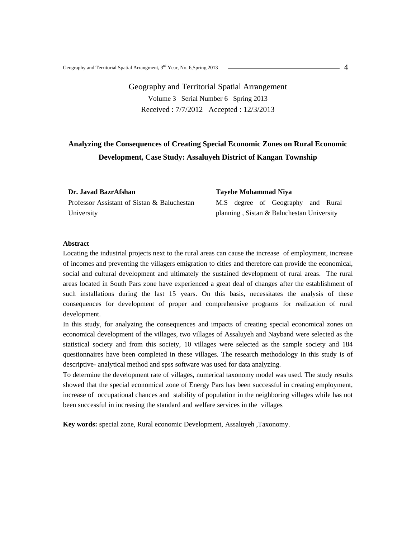## Geography and Territorial Spatial Arrangement Volume 3 Serial Number 6 Spring 2013 Received : 7/7/2012 Accepted : 12/3/2013

# **Analyzing the Consequences of Creating Special Economic Zones on Rural Economic Development, Case Study: Assaluyeh District of Kangan Township**

**Dr. Javad BazrAfshan**  Professor Assistant of Sistan & Baluchestan University

**Tayebe Mohammad Niya**  M.S degree of Geography and Rural planning , Sistan & Baluchestan University

#### **Abstract**

Locating the industrial projects next to the rural areas can cause the increase of employment, increase of incomes and preventing the villagers emigration to cities and therefore can provide the economical, social and cultural development and ultimately the sustained development of rural areas. The rural areas located in South Pars zone have experienced a great deal of changes after the establishment of such installations during the last 15 years. On this basis, necessitates the analysis of these consequences for development of proper and comprehensive programs for realization of rural development.

In this study, for analyzing the consequences and impacts of creating special economical zones on economical development of the villages, two villages of Assaluyeh and Nayband were selected as the statistical society and from this society, 10 villages were selected as the sample society and 184 questionnaires have been completed in these villages. The research methodology in this study is of descriptive- analytical method and spss software was used for data analyzing.

To determine the development rate of villages, numerical taxonomy model was used. The study results showed that the special economical zone of Energy Pars has been successful in creating employment, increase of occupational chances and stability of population in the neighboring villages while has not been successful in increasing the standard and welfare services in the villages

**Key words:** special zone, Rural economic Development, Assaluyeh ,Taxonomy.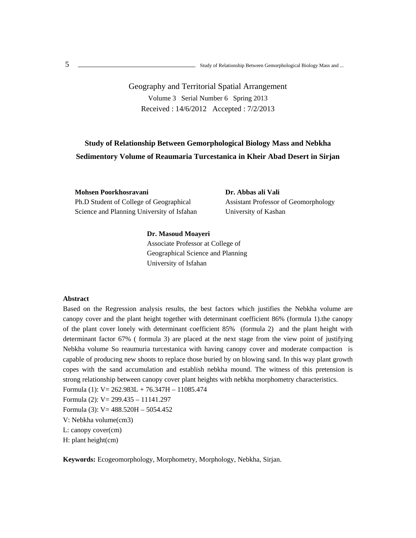## Geography and Territorial Spatial Arrangement Volume 3 Serial Number 6 Spring 2013 Received : 14/6/2012 Accepted : 7/2/2013

# **Study of Relationship Between Gemorphological Biology Mass and Nebkha Sedimentory Volume of Reaumaria Turcestanica in Kheir Abad Desert in Sirjan**

**Mohsen Poorkhosravani**  Ph.D Student of College of Geographical Science and Planning University of Isfahan **Dr. Abbas ali Vali**  Assistant Professor of Geomorphology University of Kashan

#### **Dr. Masoud Moayeri**

 Associate Professor at College of Geographical Science and Planning University of Isfahan

#### **Abstract**

Based on the Regression analysis results, the best factors which justifies the Nebkha volume are canopy cover and the plant height together with determinant coefficient 86% (formula 1).the canopy of the plant cover lonely with determinant coefficient 85% (formula 2) and the plant height with determinant factor 67% ( formula 3) are placed at the next stage from the view point of justifying Nebkha volume So reaumuria turcestanica with having canopy cover and moderate compaction is capable of producing new shoots to replace those buried by on blowing sand. In this way plant growth copes with the sand accumulation and establish nebkha mound. The witness of this pretension is strong relationship between canopy cover plant heights with nebkha morphometry characteristics.

Formula (1): V= 262.983L + 76.347H – 11085.474

Formula (2): V= 299.435 – 11141.297

Formula (3): V= 488.520H – 5054.452

V: Nebkha volume(cm3)

L: canopy cover(cm)

H: plant height(cm)

**Keywords:** Ecogeomorphology, Morphometry, Morphology, Nebkha, Sirjan.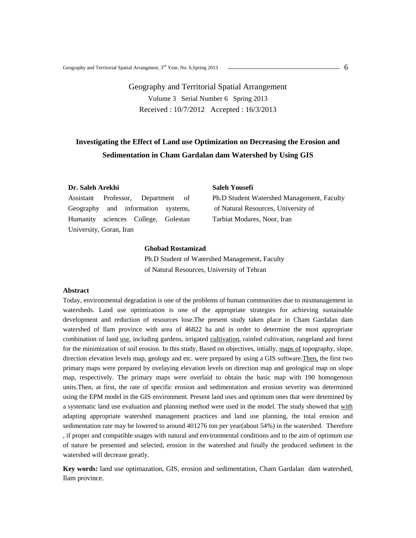Geography and Territorial Spatial Arrangement Volume 3 Serial Number 6 Spring 2013 Received : 10/7/2012 Accepted : 16/3/2013

# **Investigating the Effect of Land use Optimization on Decreasing the Erosion and Sedimentation in Cham Gardalan dam Watershed by Using GIS**

#### **Dr. Saleh Arekhi**

Assistant Professor, Department of Geography and information systems, Humanity sciences College, Golestan University, Goran, Iran

#### **Saleh Yousefi**

Ph.D Student Watershed Management, Faculty of Natural Resources, University of Tarbiat Modares, Noor, Iran

#### **Ghobad Rostamizad**

Ph.D Student of Watershed Management, Faculty of Natural Resources, University of Tehran

#### **Abstract**

Today, environmental degradation is one of the problems of human communities due to mismanagement in watersheds. Land use optimization is one of the appropriate strategies for achieving sustainable development and reduction of resources lose.The present study taken place in Cham Gardalan dam watershed of Ilam province with area of 46822 ha and in order to determine the most appropriate combination of land use, including gardens, irrigated cultivation, rainfed cultivation, rangeland and forest for the minimization of soil erosion. In this study, Based on objectives, intially, maps of topography, slope, direction elevation levels map, geology and etc. were prepared by using a GIS software.Then, the first two primary maps were prepared by ovelaying elevation levels on direction map and geological map on slope map, respectively. The primary maps were overlaid to obtain the basic map with 190 homogenous units.Then, at first, the rate of specific erosion and sedimentation and erosion severity was determined using the EPM model in the GIS environment. Present land uses and optimum ones that were detemined by a systematic land use evaluation and planning method were used in the model. The study showed that with adapting appropriate watershed management practices and land use planning, the total erosion and sedimentation rate may be lowered to around 401276 ton per year(about 54%) in the watershed. Therefore , if proper and compatible usages with natural and environmental conditions and to the aim of optimum use of nature be presented and selected, erosion in the watershed and finally the produced sediment in the watershed will decrease greatly.

**Key words:** land use optimazation, GIS, erosion and sedimentation, Cham Gardalan dam watershed, Ilam province.

6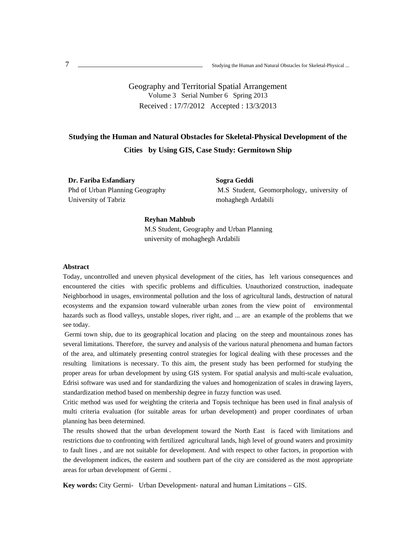Geography and Territorial Spatial Arrangement Volume 3 Serial Number 6 Spring 2013 Received : 17/7/2012 Accepted : 13/3/2013

# **Studying the Human and Natural Obstacles for Skeletal-Physical Development of the Cities by Using GIS, Case Study: Germitown Ship**

**Dr. Fariba Esfandiary**  Phd of Urban Planning Geography University of Tabriz

**Sogra Geddi**  M.S Student, Geomorphology, university of mohaghegh Ardabili

#### **Reyhan Mahbub**

M.S Student, Geography and Urban Planning university of mohaghegh Ardabili

#### **Abstract**

Today, uncontrolled and uneven physical development of the cities, has left various consequences and encountered the cities with specific problems and difficulties. Unauthorized construction, inadequate Neighborhood in usages, environmental pollution and the loss of agricultural lands, destruction of natural ecosystems and the expansion toward vulnerable urban zones from the view point of environmental hazards such as flood valleys, unstable slopes, river right, and ... are an example of the problems that we see today.

 Germi town ship, due to its geographical location and placing on the steep and mountainous zones has several limitations. Therefore, the survey and analysis of the various natural phenomena and human factors of the area, and ultimately presenting control strategies for logical dealing with these processes and the resulting limitations is necessary. To this aim, the present study has been performed for studying the proper areas for urban development by using GIS system. For spatial analysis and multi-scale evaluation, Edrisi software was used and for standardizing the values and homogenization of scales in drawing layers, standardization method based on membership degree in fuzzy function was used.

Critic method was used for weighting the criteria and Topsis technique has been used in final analysis of multi criteria evaluation (for suitable areas for urban development) and proper coordinates of urban planning has been determined.

The results showed that the urban development toward the North East is faced with limitations and restrictions due to confronting with fertilized agricultural lands, high level of ground waters and proximity to fault lines , and are not suitable for development. And with respect to other factors, in proportion with the development indices, the eastern and southern part of the city are considered as the most appropriate areas for urban development of Germi .

**Key words:** City Germi- Urban Development- natural and human Limitations – GIS.